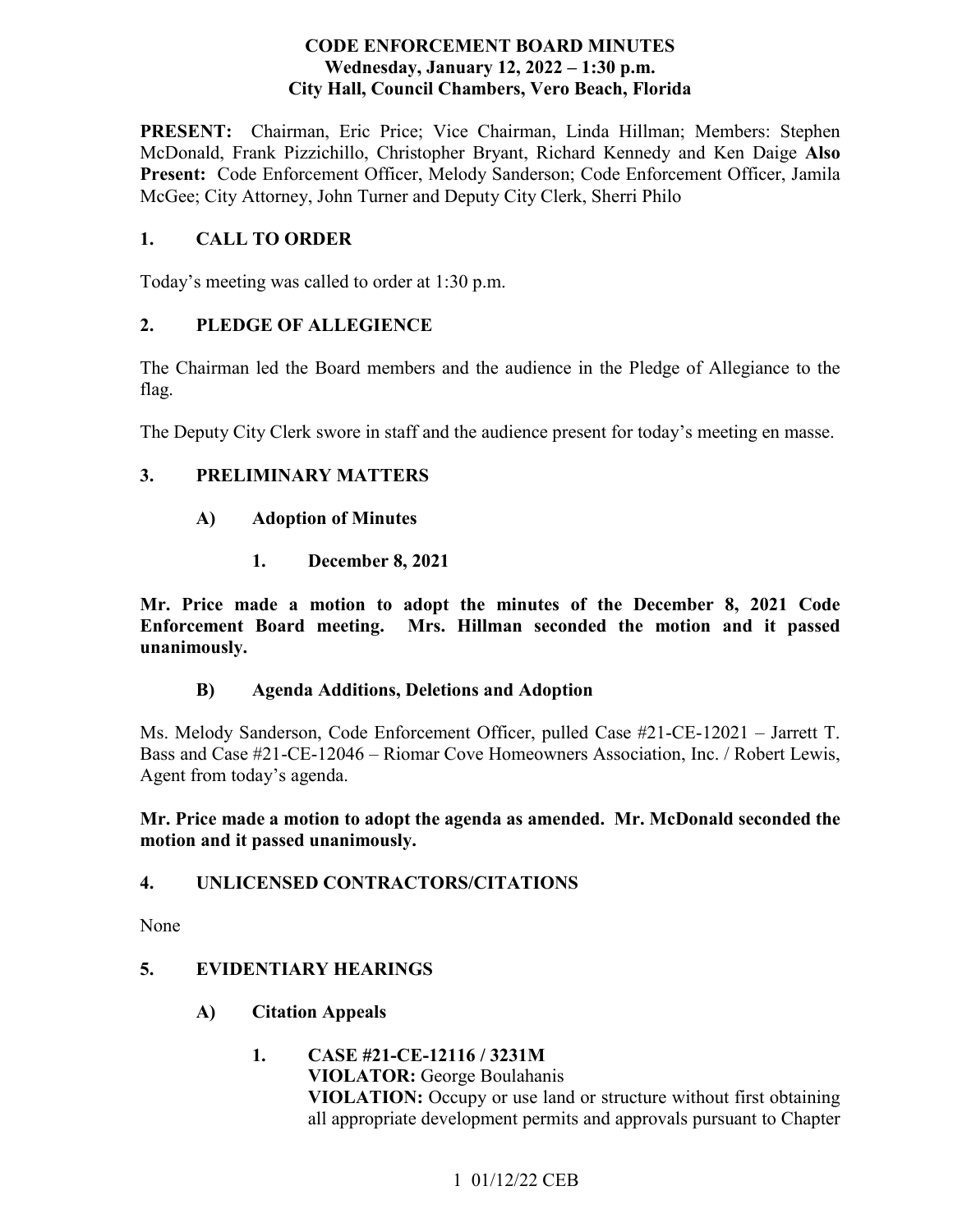#### **CODE ENFORCEMENT BOARD MINUTES**  Wednesday, January 12, 2022 – 1:30 p.m. **City Hall, Council Chambers, Vero Beach, Florida**

PRESENT: Chairman, Eric Price; Vice Chairman, Linda Hillman; Members: Stephen  **Present:** Code Enforcement Officer, Melody Sanderson; Code Enforcement Officer, Jamila McDonald, Frank Pizzichillo, Christopher Bryant, Richard Kennedy and Ken Daige **Also**  McGee; City Attorney, John Turner and Deputy City Clerk, Sherri Philo

#### **1. CALL TO ORDER**

Today's meeting was called to order at 1:30 p.m.

#### **2. PLEDGE OF ALLEGIENCE**

The Chairman led the Board members and the audience in the Pledge of Allegiance to the flag.

The Deputy City Clerk swore in staff and the audience present for today's meeting en masse.

#### **3. PRELIMINARY MATTERS**

#### **A) Adoption of Minutes**

**1. December 8, 2021** 

**Mr. Price made a motion to adopt the minutes of the December 8, 2021 Code Enforcement Board meeting. Mrs. Hillman seconded the motion and it passed unanimously.** 

#### **B) Agenda Additions, Deletions and Adoption**

 Agent from today's agenda. Ms. Melody Sanderson, Code Enforcement Officer, pulled Case #21-CE-12021 – Jarrett T. Bass and Case #21-CE-12046 – Riomar Cove Homeowners Association, Inc. / Robert Lewis,

 **Mr. Price made a motion to adopt the agenda as amended. Mr. McDonald seconded the motion and it passed unanimously.** 

#### **4. UNLICENSED CONTRACTORS/CITATIONS**

None

#### **5. EVIDENTIARY HEARINGS**

- **A) Citation Appeals** 
	- **1. CASE #21-CE-12116 / 3231M VIOLATOR:** George Boulahanis **VIOLATION:** Occupy or use land or structure without first obtaining all appropriate development permits and approvals pursuant to Chapter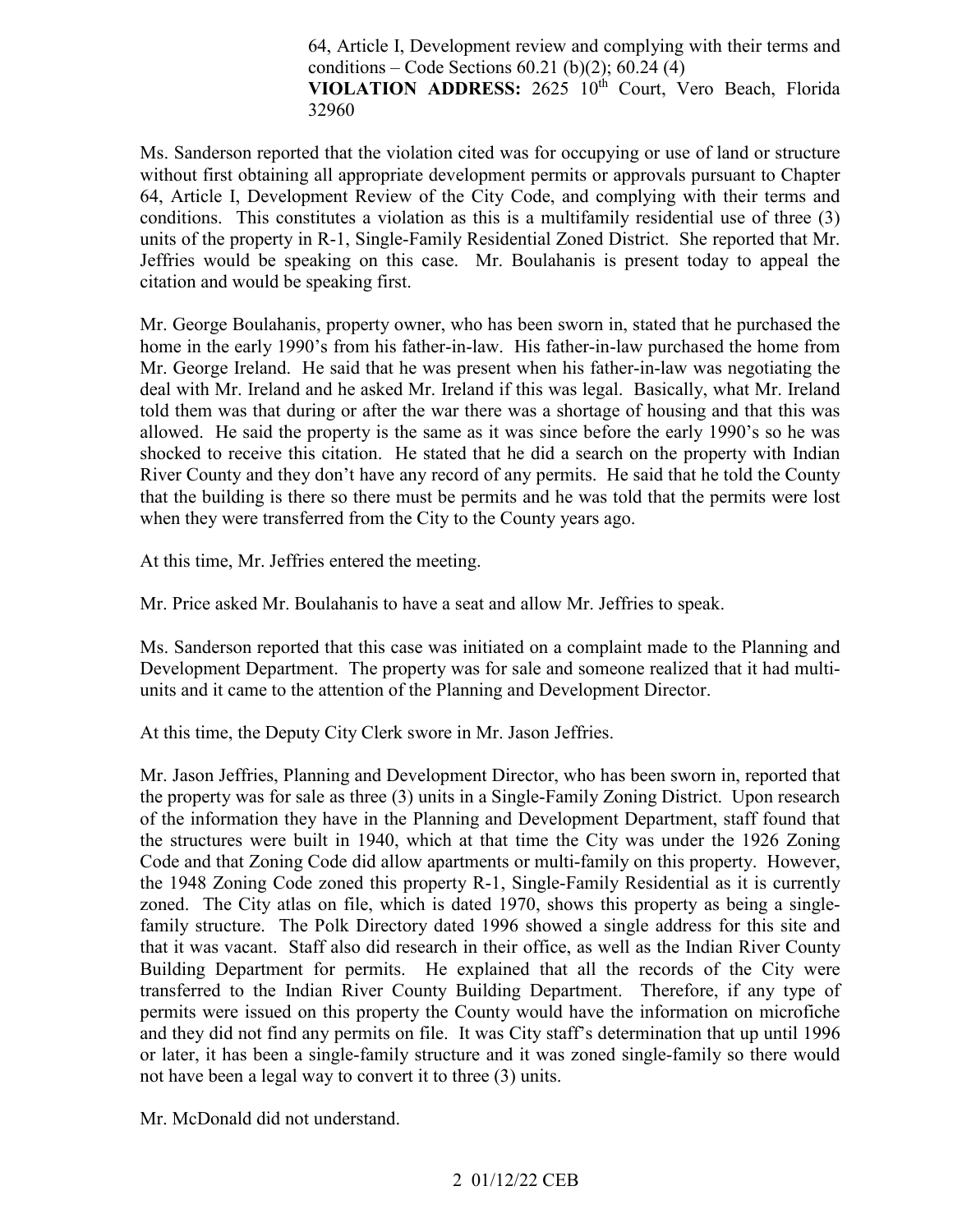conditions – Code Sections  $60.21$  (b)(2);  $60.24$  (4) 64, Article I, Development review and complying with their terms and

VIOLATION ADDRESS: 2625 10<sup>th</sup> Court, Vero Beach, Florida 32960

 conditions. This constitutes a violation as this is a multifamily residential use of three (3) Ms. Sanderson reported that the violation cited was for occupying or use of land or structure without first obtaining all appropriate development permits or approvals pursuant to Chapter 64, Article I, Development Review of the City Code, and complying with their terms and units of the property in R-1, Single-Family Residential Zoned District. She reported that Mr. Jeffries would be speaking on this case. Mr. Boulahanis is present today to appeal the citation and would be speaking first.

 Mr. George Boulahanis, property owner, who has been sworn in, stated that he purchased the home in the early 1990's from his father-in-law. His father-in-law purchased the home from deal with Mr. Ireland and he asked Mr. Ireland if this was legal. Basically, what Mr. Ireland told them was that during or after the war there was a shortage of housing and that this was River County and they don't have any record of any permits. He said that he told the County when they were transferred from the City to the County years ago. Mr. George Ireland. He said that he was present when his father-in-law was negotiating the allowed. He said the property is the same as it was since before the early 1990's so he was shocked to receive this citation. He stated that he did a search on the property with Indian that the building is there so there must be permits and he was told that the permits were lost

At this time, Mr. Jeffries entered the meeting.

Mr. Price asked Mr. Boulahanis to have a seat and allow Mr. Jeffries to speak.

Ms. Sanderson reported that this case was initiated on a complaint made to the Planning and Development Department. The property was for sale and someone realized that it had multiunits and it came to the attention of the Planning and Development Director.

At this time, the Deputy City Clerk swore in Mr. Jason Jeffries.

 the property was for sale as three (3) units in a Single-Family Zoning District. Upon research Code and that Zoning Code did allow apartments or multi-family on this property. However, zoned. The City atlas on file, which is dated 1970, shows this property as being a single- family structure. The Polk Directory dated 1996 showed a single address for this site and and they did not find any permits on file. It was City staff's determination that up until 1996 Mr. Jason Jeffries, Planning and Development Director, who has been sworn in, reported that of the information they have in the Planning and Development Department, staff found that the structures were built in 1940, which at that time the City was under the 1926 Zoning the 1948 Zoning Code zoned this property R-1, Single-Family Residential as it is currently that it was vacant. Staff also did research in their office, as well as the Indian River County Building Department for permits. He explained that all the records of the City were transferred to the Indian River County Building Department. Therefore, if any type of permits were issued on this property the County would have the information on microfiche or later, it has been a single-family structure and it was zoned single-family so there would not have been a legal way to convert it to three (3) units.

Mr. McDonald did not understand.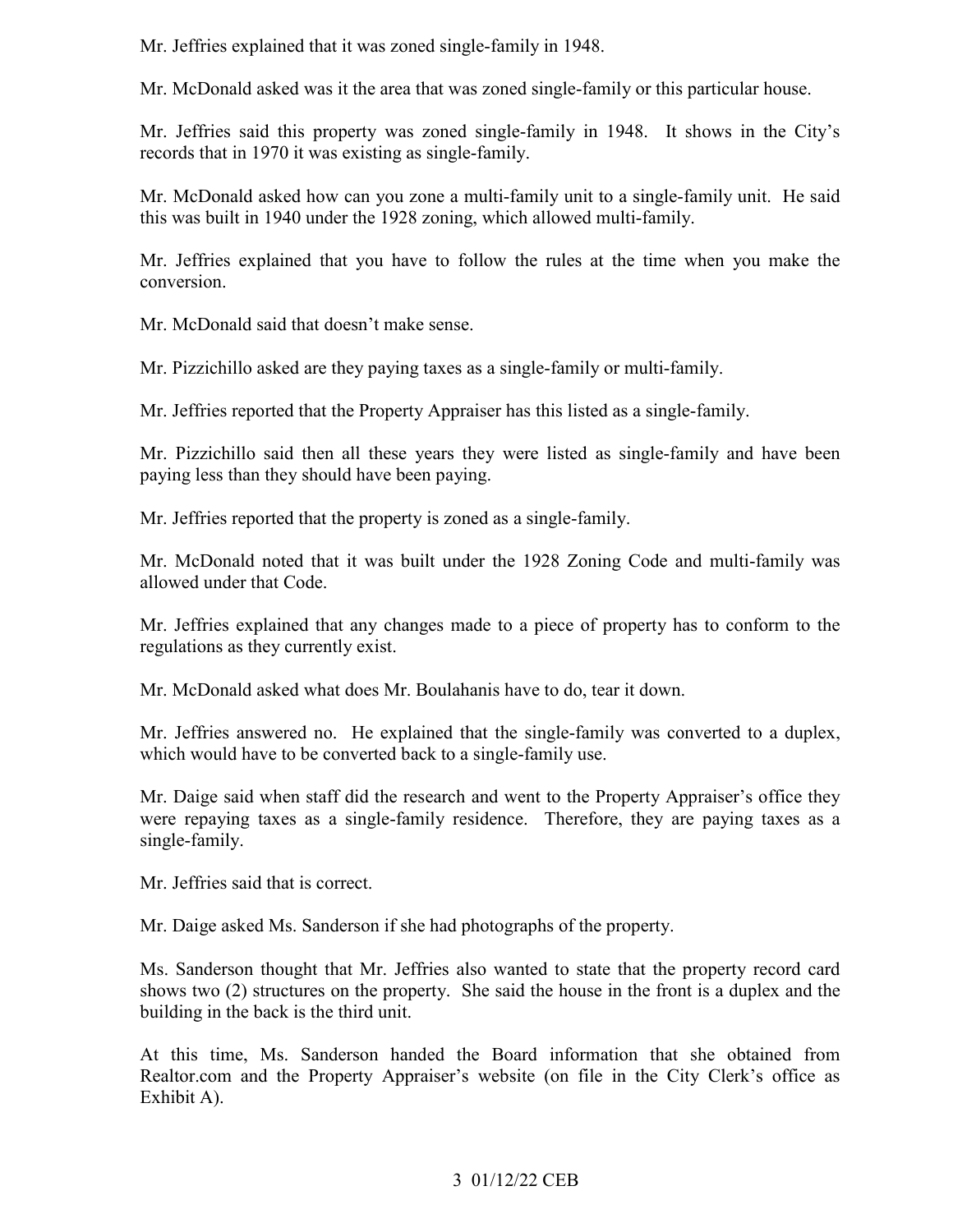Mr. Jeffries explained that it was zoned single-family in 1948.

Mr. McDonald asked was it the area that was zoned single-family or this particular house.

Mr. Jeffries said this property was zoned single-family in 1948. It shows in the City's records that in 1970 it was existing as single-family.

 Mr. McDonald asked how can you zone a multi-family unit to a single-family unit. He said this was built in 1940 under the 1928 zoning, which allowed multi-family.

Mr. Jeffries explained that you have to follow the rules at the time when you make the conversion.

Mr. McDonald said that doesn't make sense.

Mr. Pizzichillo asked are they paying taxes as a single-family or multi-family.

Mr. Jeffries reported that the Property Appraiser has this listed as a single-family.

 Mr. Pizzichillo said then all these years they were listed as single-family and have been paying less than they should have been paying.

Mr. Jeffries reported that the property is zoned as a single-family.

Mr. McDonald noted that it was built under the 1928 Zoning Code and multi-family was allowed under that Code.

 Mr. Jeffries explained that any changes made to a piece of property has to conform to the regulations as they currently exist.

Mr. McDonald asked what does Mr. Boulahanis have to do, tear it down.

Mr. Jeffries answered no. He explained that the single-family was converted to a duplex, which would have to be converted back to a single-family use.

 were repaying taxes as a single-family residence. Therefore, they are paying taxes as a Mr. Daige said when staff did the research and went to the Property Appraiser's office they single-family.

Mr. Jeffries said that is correct.

Mr. Daige asked Ms. Sanderson if she had photographs of the property.

 Ms. Sanderson thought that Mr. Jeffries also wanted to state that the property record card shows two (2) structures on the property. She said the house in the front is a duplex and the building in the back is the third unit.

 [Realtor.com](https://Realtor.com) and the Property Appraiser's website (on file in the City Clerk's office as At this time, Ms. Sanderson handed the Board information that she obtained from Exhibit A).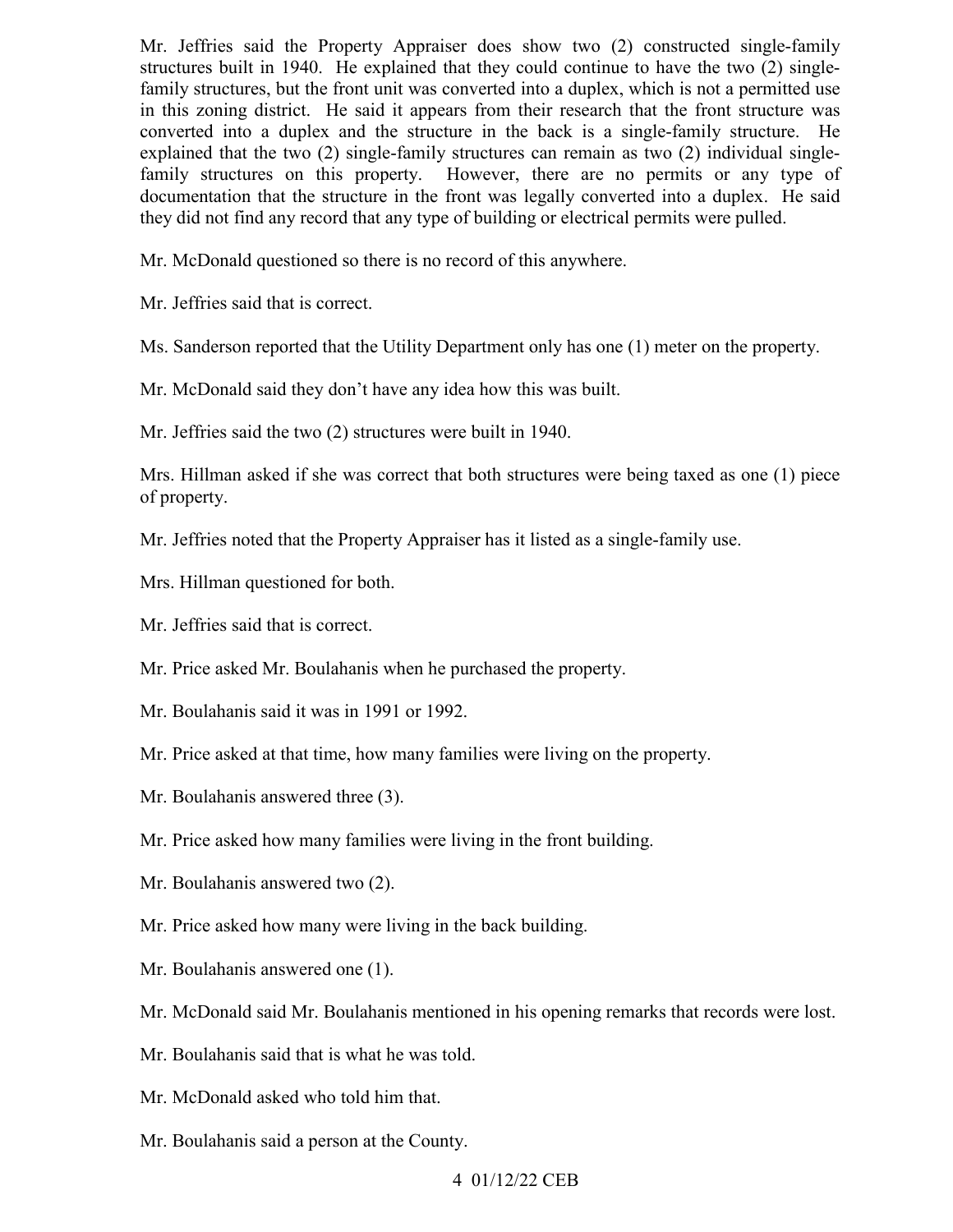in this zoning district. He said it appears from their research that the front structure was explained that the two (2) single-family structures can remain as two (2) individual single-Mr. Jeffries said the Property Appraiser does show two (2) constructed single-family structures built in 1940. He explained that they could continue to have the two (2) singlefamily structures, but the front unit was converted into a duplex, which is not a permitted use converted into a duplex and the structure in the back is a single-family structure. He family structures on this property. However, there are no permits or any type of documentation that the structure in the front was legally converted into a duplex. He said they did not find any record that any type of building or electrical permits were pulled.

Mr. McDonald questioned so there is no record of this anywhere.

Mr. Jeffries said that is correct.

Ms. Sanderson reported that the Utility Department only has one (1) meter on the property.

Mr. McDonald said they don't have any idea how this was built.

Mr. Jeffries said the two (2) structures were built in 1940.

Mrs. Hillman asked if she was correct that both structures were being taxed as one (1) piece of property.

Mr. Jeffries noted that the Property Appraiser has it listed as a single-family use.

- Mrs. Hillman questioned for both.
- Mr. Jeffries said that is correct.

Mr. Price asked Mr. Boulahanis when he purchased the property.

- Mr. Boulahanis said it was in 1991 or 1992.
- Mr. Price asked at that time, how many families were living on the property.
- Mr. Boulahanis answered three (3).
- Mr. Price asked how many families were living in the front building.
- Mr. Boulahanis answered two (2).
- Mr. Price asked how many were living in the back building.
- Mr. Boulahanis answered one (1).
- Mr. McDonald said Mr. Boulahanis mentioned in his opening remarks that records were lost.
- Mr. Boulahanis said that is what he was told.
- Mr. McDonald asked who told him that.
- Mr. Boulahanis said a person at the County.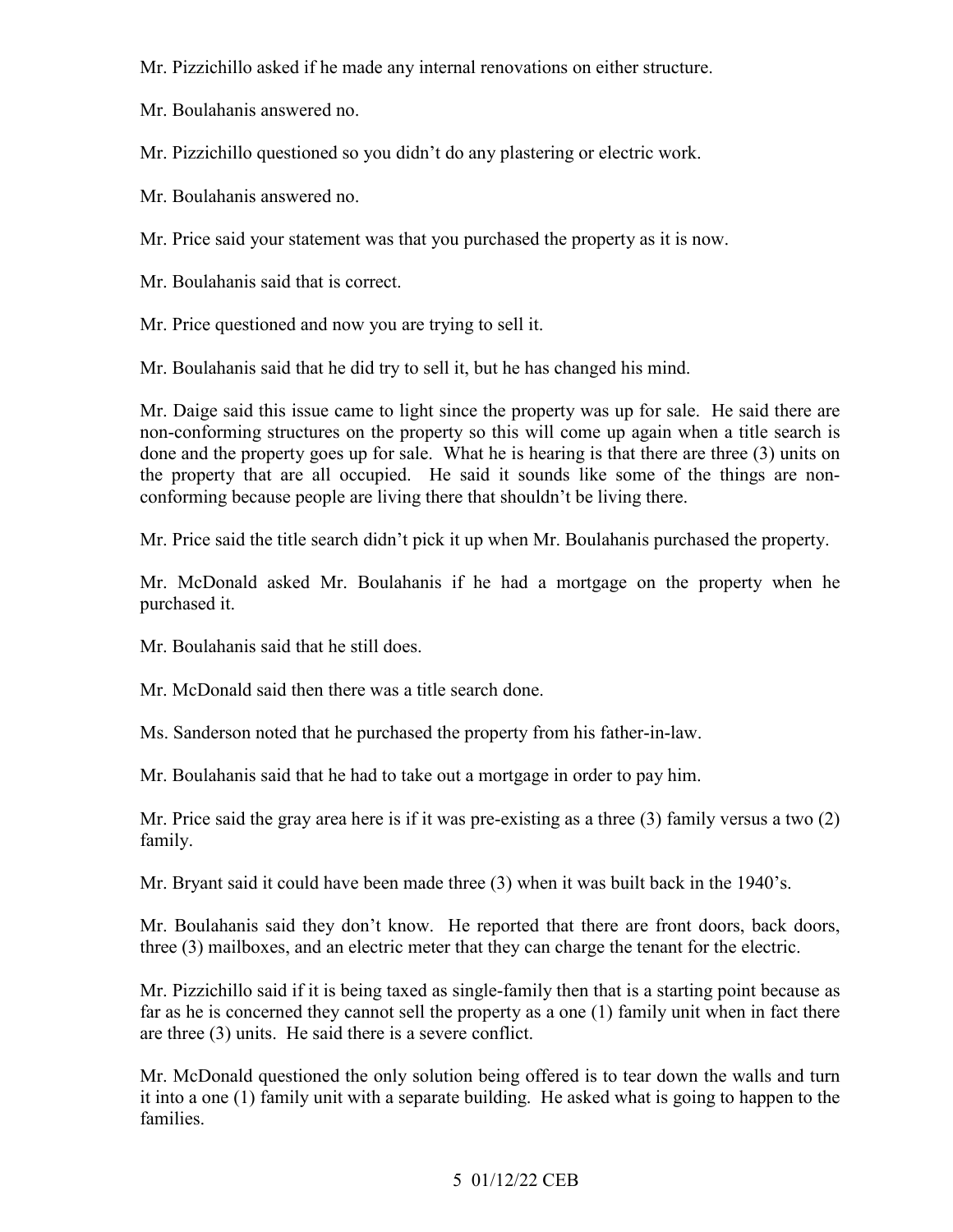Mr. Pizzichillo asked if he made any internal renovations on either structure.

Mr. Boulahanis answered no.

Mr. Pizzichillo questioned so you didn't do any plastering or electric work.

Mr. Boulahanis answered no.

Mr. Price said your statement was that you purchased the property as it is now.

Mr. Boulahanis said that is correct.

Mr. Price questioned and now you are trying to sell it.

Mr. Boulahanis said that he did try to sell it, but he has changed his mind.

 done and the property goes up for sale. What he is hearing is that there are three (3) units on Mr. Daige said this issue came to light since the property was up for sale. He said there are non-conforming structures on the property so this will come up again when a title search is the property that are all occupied. He said it sounds like some of the things are nonconforming because people are living there that shouldn't be living there.

Mr. Price said the title search didn't pick it up when Mr. Boulahanis purchased the property.

Mr. McDonald asked Mr. Boulahanis if he had a mortgage on the property when he purchased it.

Mr. Boulahanis said that he still does.

Mr. McDonald said then there was a title search done.

Ms. Sanderson noted that he purchased the property from his father-in-law.

Mr. Boulahanis said that he had to take out a mortgage in order to pay him.

 Mr. Price said the gray area here is if it was pre-existing as a three (3) family versus a two (2) family.

Mr. Bryant said it could have been made three (3) when it was built back in the 1940's.

 three (3) mailboxes, and an electric meter that they can charge the tenant for the electric. Mr. Boulahanis said they don't know. He reported that there are front doors, back doors,

 Mr. Pizzichillo said if it is being taxed as single-family then that is a starting point because as far as he is concerned they cannot sell the property as a one (1) family unit when in fact there are three  $(3)$  units. He said there is a severe conflict.

Mr. McDonald questioned the only solution being offered is to tear down the walls and turn it into a one (1) family unit with a separate building. He asked what is going to happen to the families.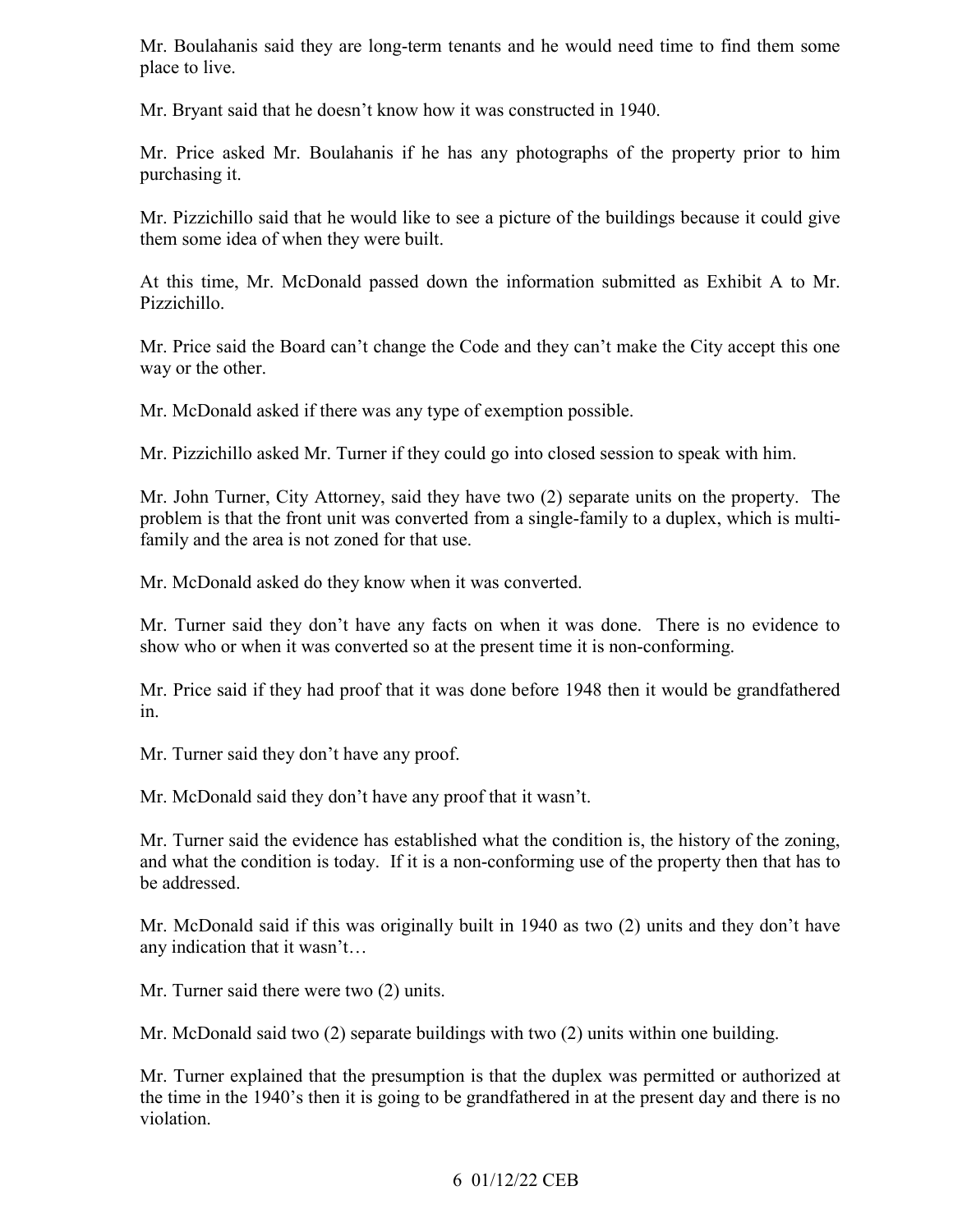Mr. Boulahanis said they are long-term tenants and he would need time to find them some place to live.

Mr. Bryant said that he doesn't know how it was constructed in 1940.

Mr. Price asked Mr. Boulahanis if he has any photographs of the property prior to him purchasing it.

 Mr. Pizzichillo said that he would like to see a picture of the buildings because it could give them some idea of when they were built.

At this time, Mr. McDonald passed down the information submitted as Exhibit A to Mr. Pizzichillo.

Mr. Price said the Board can't change the Code and they can't make the City accept this one way or the other.

Mr. McDonald asked if there was any type of exemption possible.

Mr. Pizzichillo asked Mr. Turner if they could go into closed session to speak with him.

Mr. John Turner, City Attorney, said they have two (2) separate units on the property. The problem is that the front unit was converted from a single-family to a duplex, which is multifamily and the area is not zoned for that use.

Mr. McDonald asked do they know when it was converted.

Mr. Turner said they don't have any facts on when it was done. There is no evidence to show who or when it was converted so at the present time it is non-conforming.

Mr. Price said if they had proof that it was done before 1948 then it would be grandfathered in.

Mr. Turner said they don't have any proof.

Mr. McDonald said they don't have any proof that it wasn't.

Mr. Turner said the evidence has established what the condition is, the history of the zoning, and what the condition is today. If it is a non-conforming use of the property then that has to be addressed.

Mr. McDonald said if this was originally built in 1940 as two (2) units and they don't have any indication that it wasn't…

Mr. Turner said there were two (2) units.

Mr. McDonald said two (2) separate buildings with two (2) units within one building.

 Mr. Turner explained that the presumption is that the duplex was permitted or authorized at the time in the 1940's then it is going to be grandfathered in at the present day and there is no violation.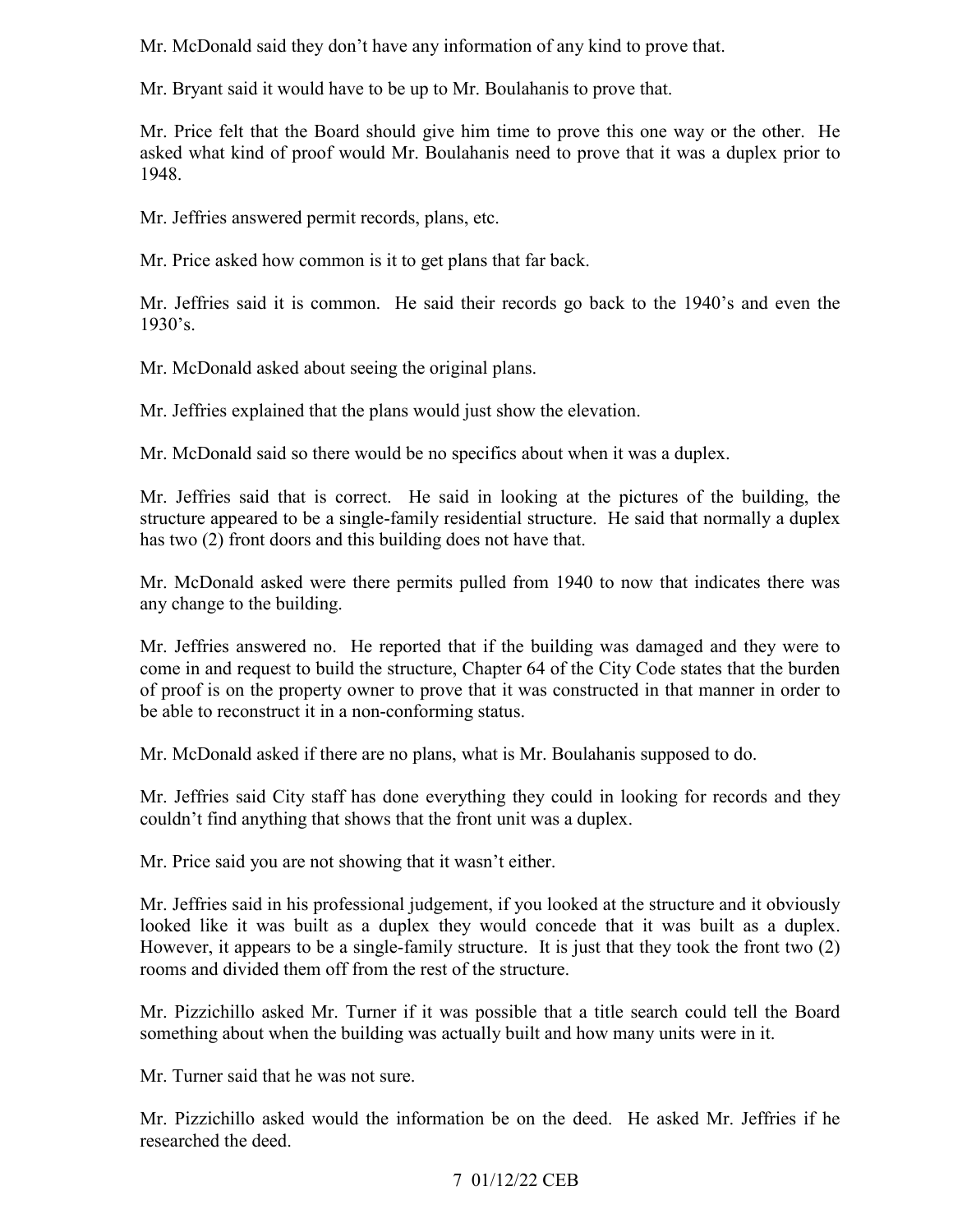Mr. McDonald said they don't have any information of any kind to prove that.

Mr. Bryant said it would have to be up to Mr. Boulahanis to prove that.

 Mr. Price felt that the Board should give him time to prove this one way or the other. He asked what kind of proof would Mr. Boulahanis need to prove that it was a duplex prior to 1948.

Mr. Jeffries answered permit records, plans, etc.

Mr. Price asked how common is it to get plans that far back.

Mr. Jeffries said it is common. He said their records go back to the 1940's and even the  $1930's.$ 

Mr. McDonald asked about seeing the original plans.

Mr. Jeffries explained that the plans would just show the elevation.

Mr. McDonald said so there would be no specifics about when it was a duplex.

 structure appeared to be a single-family residential structure. He said that normally a duplex has two (2) front doors and this building does not have that. Mr. Jeffries said that is correct. He said in looking at the pictures of the building, the

Mr. McDonald asked were there permits pulled from 1940 to now that indicates there was any change to the building.

Mr. Jeffries answered no. He reported that if the building was damaged and they were to come in and request to build the structure, Chapter 64 of the City Code states that the burden of proof is on the property owner to prove that it was constructed in that manner in order to be able to reconstruct it in a non-conforming status.

Mr. McDonald asked if there are no plans, what is Mr. Boulahanis supposed to do.

 Mr. Jeffries said City staff has done everything they could in looking for records and they couldn't find anything that shows that the front unit was a duplex.

Mr. Price said you are not showing that it wasn't either.

looked like it was built as a duplex they would concede that it was built as a duplex. Mr. Jeffries said in his professional judgement, if you looked at the structure and it obviously However, it appears to be a single-family structure. It is just that they took the front two  $(2)$ rooms and divided them off from the rest of the structure.

 something about when the building was actually built and how many units were in it. Mr. Pizzichillo asked Mr. Turner if it was possible that a title search could tell the Board

Mr. Turner said that he was not sure.

 Mr. Pizzichillo asked would the information be on the deed. He asked Mr. Jeffries if he researched the deed.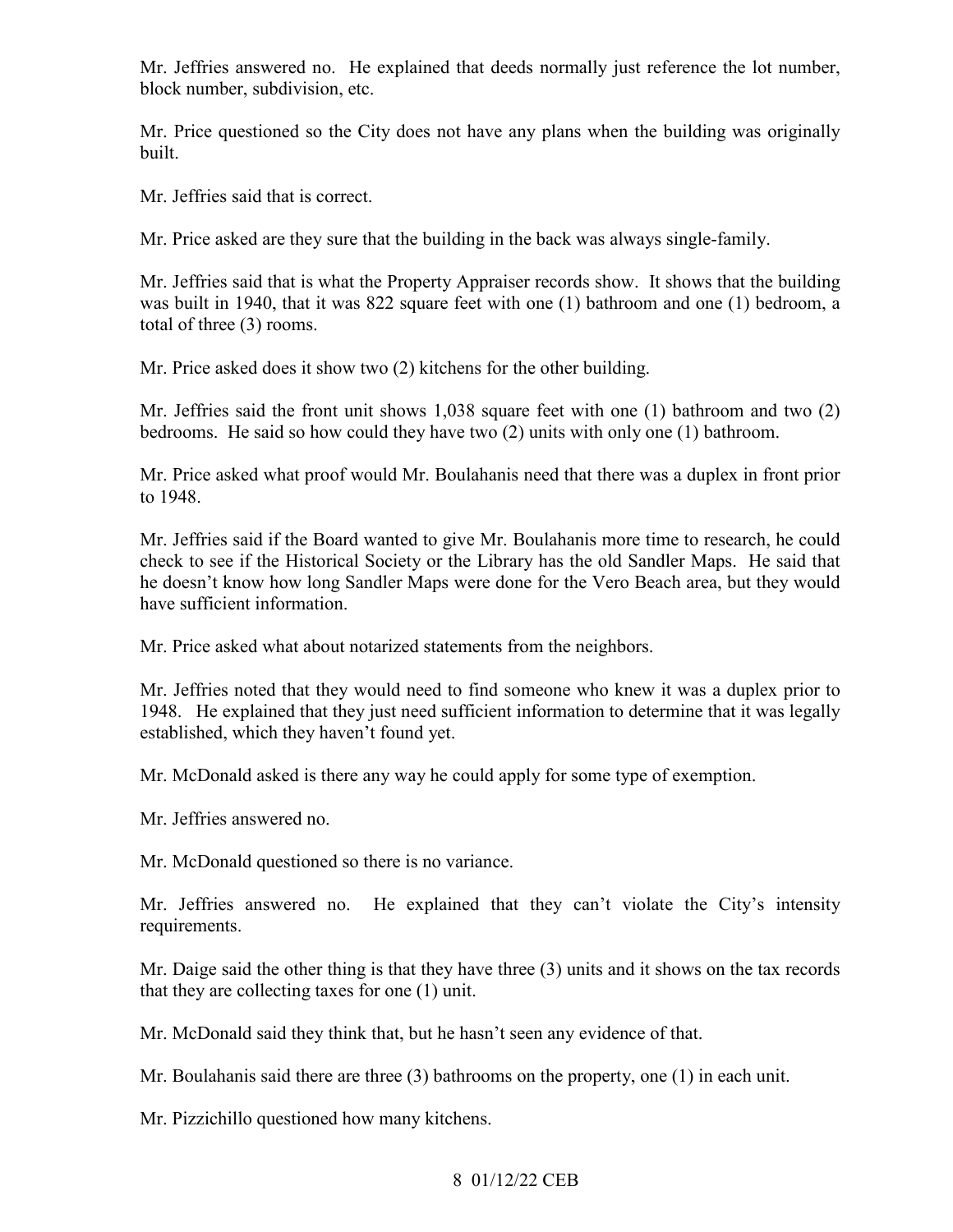Mr. Jeffries answered no. He explained that deeds normally just reference the lot number, block number, subdivision, etc.

Mr. Price questioned so the City does not have any plans when the building was originally built.

Mr. Jeffries said that is correct.

Mr. Price asked are they sure that the building in the back was always single-family.

Mr. Jeffries said that is what the Property Appraiser records show. It shows that the building was built in 1940, that it was 822 square feet with one (1) bathroom and one (1) bedroom, a total of three (3) rooms.

Mr. Price asked does it show two (2) kitchens for the other building.

 bedrooms. He said so how could they have two (2) units with only one (1) bathroom. Mr. Jeffries said the front unit shows 1,038 square feet with one (1) bathroom and two (2)

Mr. Price asked what proof would Mr. Boulahanis need that there was a duplex in front prior to 1948.

Mr. Jeffries said if the Board wanted to give Mr. Boulahanis more time to research, he could check to see if the Historical Society or the Library has the old Sandler Maps. He said that he doesn't know how long Sandler Maps were done for the Vero Beach area, but they would have sufficient information.

Mr. Price asked what about notarized statements from the neighbors.

Mr. Jeffries noted that they would need to find someone who knew it was a duplex prior to 1948. He explained that they just need sufficient information to determine that it was legally established, which they haven't found yet.

Mr. McDonald asked is there any way he could apply for some type of exemption.

Mr. Jeffries answered no.

Mr. McDonald questioned so there is no variance.

Mr. Jeffries answered no. He explained that they can't violate the City's intensity requirements.

 Mr. Daige said the other thing is that they have three (3) units and it shows on the tax records that they are collecting taxes for one (1) unit.

Mr. McDonald said they think that, but he hasn't seen any evidence of that.

Mr. Boulahanis said there are three (3) bathrooms on the property, one (1) in each unit.

Mr. Pizzichillo questioned how many kitchens.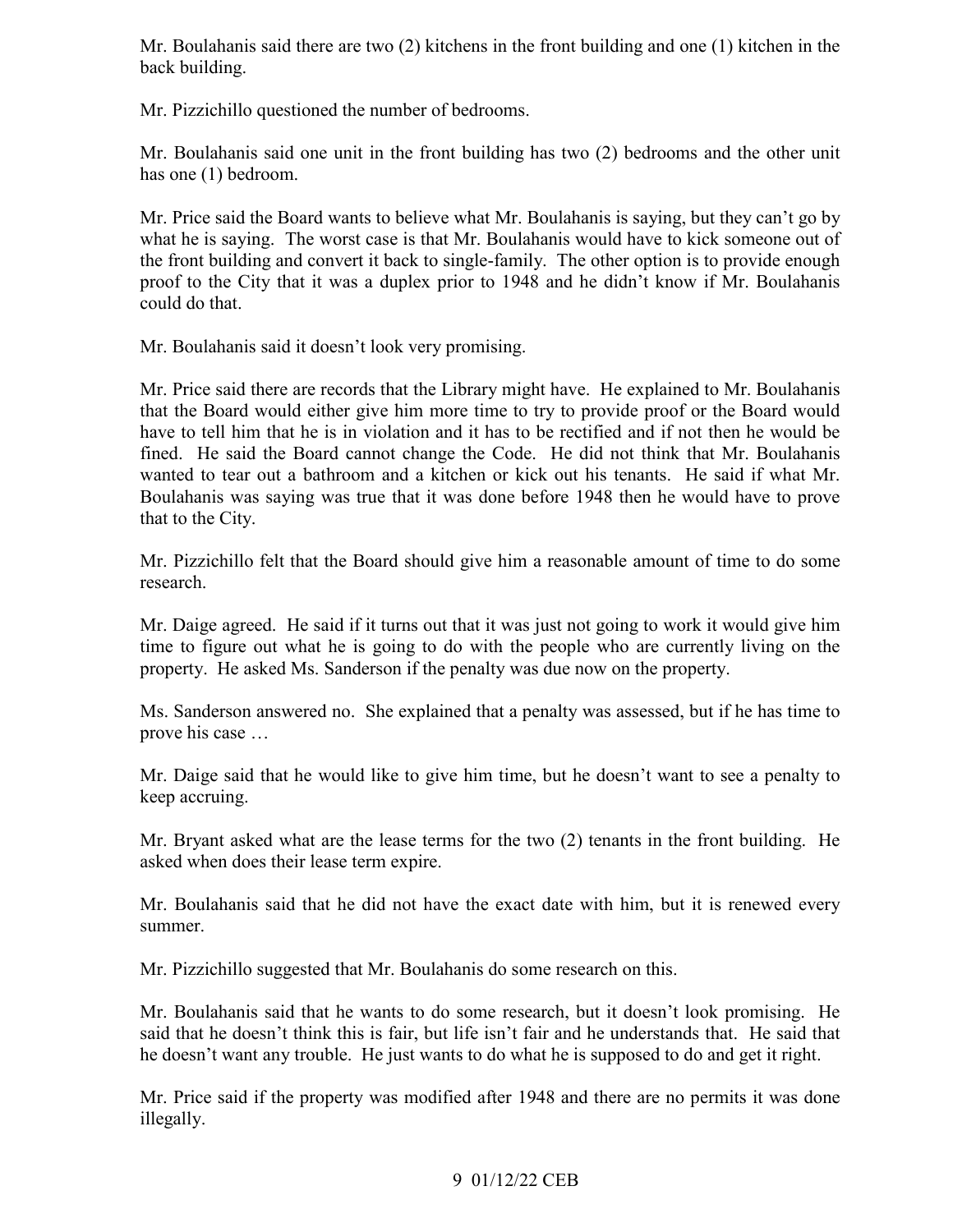Mr. Boulahanis said there are two (2) kitchens in the front building and one (1) kitchen in the back building.

Mr. Pizzichillo questioned the number of bedrooms.

Mr. Boulahanis said one unit in the front building has two (2) bedrooms and the other unit has one (1) bedroom.

 Mr. Price said the Board wants to believe what Mr. Boulahanis is saying, but they can't go by proof to the City that it was a duplex prior to 1948 and he didn't know if Mr. Boulahanis what he is saying. The worst case is that Mr. Boulahanis would have to kick someone out of the front building and convert it back to single-family. The other option is to provide enough could do that.

Mr. Boulahanis said it doesn't look very promising.

 that the Board would either give him more time to try to provide proof or the Board would Boulahanis was saying was true that it was done before 1948 then he would have to prove Mr. Price said there are records that the Library might have. He explained to Mr. Boulahanis have to tell him that he is in violation and it has to be rectified and if not then he would be fined. He said the Board cannot change the Code. He did not think that Mr. Boulahanis wanted to tear out a bathroom and a kitchen or kick out his tenants. He said if what Mr. that to the City.

Mr. Pizzichillo felt that the Board should give him a reasonable amount of time to do some research.

 Mr. Daige agreed. He said if it turns out that it was just not going to work it would give him time to figure out what he is going to do with the people who are currently living on the property. He asked Ms. Sanderson if the penalty was due now on the property.

Ms. Sanderson answered no. She explained that a penalty was assessed, but if he has time to prove his case …

Mr. Daige said that he would like to give him time, but he doesn't want to see a penalty to keep accruing.

 Mr. Bryant asked what are the lease terms for the two (2) tenants in the front building. He asked when does their lease term expire.

Mr. Boulahanis said that he did not have the exact date with him, but it is renewed every summer.

Mr. Pizzichillo suggested that Mr. Boulahanis do some research on this.

 Mr. Boulahanis said that he wants to do some research, but it doesn't look promising. He he doesn't want any trouble. He just wants to do what he is supposed to do and get it right. said that he doesn't think this is fair, but life isn't fair and he understands that. He said that

 illegally. Mr. Price said if the property was modified after 1948 and there are no permits it was done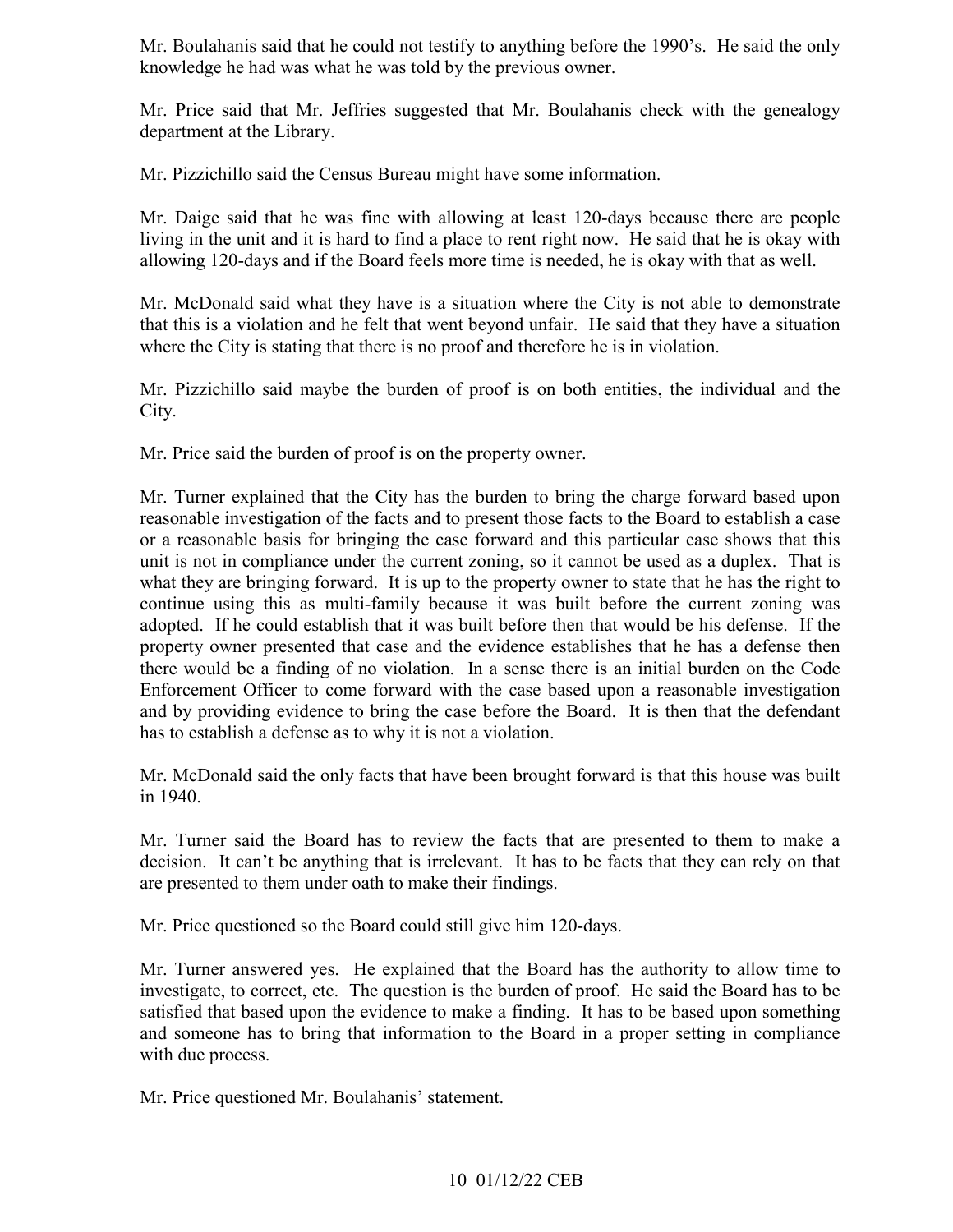Mr. Boulahanis said that he could not testify to anything before the 1990's. He said the only knowledge he had was what he was told by the previous owner.

 department at the Library. Mr. Price said that Mr. Jeffries suggested that Mr. Boulahanis check with the genealogy

Mr. Pizzichillo said the Census Bureau might have some information.

Mr. Daige said that he was fine with allowing at least 120-days because there are people living in the unit and it is hard to find a place to rent right now. He said that he is okay with allowing 120-days and if the Board feels more time is needed, he is okay with that as well.

 Mr. McDonald said what they have is a situation where the City is not able to demonstrate that this is a violation and he felt that went beyond unfair. He said that they have a situation where the City is stating that there is no proof and therefore he is in violation.

Mr. Pizzichillo said maybe the burden of proof is on both entities, the individual and the City.

Mr. Price said the burden of proof is on the property owner.

 what they are bringing forward. It is up to the property owner to state that he has the right to and by providing evidence to bring the case before the Board. It is then that the defendant has to establish a defense as to why it is not a violation. Mr. Turner explained that the City has the burden to bring the charge forward based upon reasonable investigation of the facts and to present those facts to the Board to establish a case or a reasonable basis for bringing the case forward and this particular case shows that this unit is not in compliance under the current zoning, so it cannot be used as a duplex. That is continue using this as multi-family because it was built before the current zoning was adopted. If he could establish that it was built before then that would be his defense. If the property owner presented that case and the evidence establishes that he has a defense then there would be a finding of no violation. In a sense there is an initial burden on the Code Enforcement Officer to come forward with the case based upon a reasonable investigation

has to establish a defense as to why it is not a violation.<br>Mr. McDonald said the only facts that have been brought forward is that this house was built in 1940.

 decision. It can't be anything that is irrelevant. It has to be facts that they can rely on that Mr. Turner said the Board has to review the facts that are presented to them to make a are presented to them under oath to make their findings.

Mr. Price questioned so the Board could still give him 120-days.

Mr. Turner answered yes. He explained that the Board has the authority to allow time to investigate, to correct, etc. The question is the burden of proof. He said the Board has to be satisfied that based upon the evidence to make a finding. It has to be based upon something and someone has to bring that information to the Board in a proper setting in compliance with due process.

Mr. Price questioned Mr. Boulahanis' statement.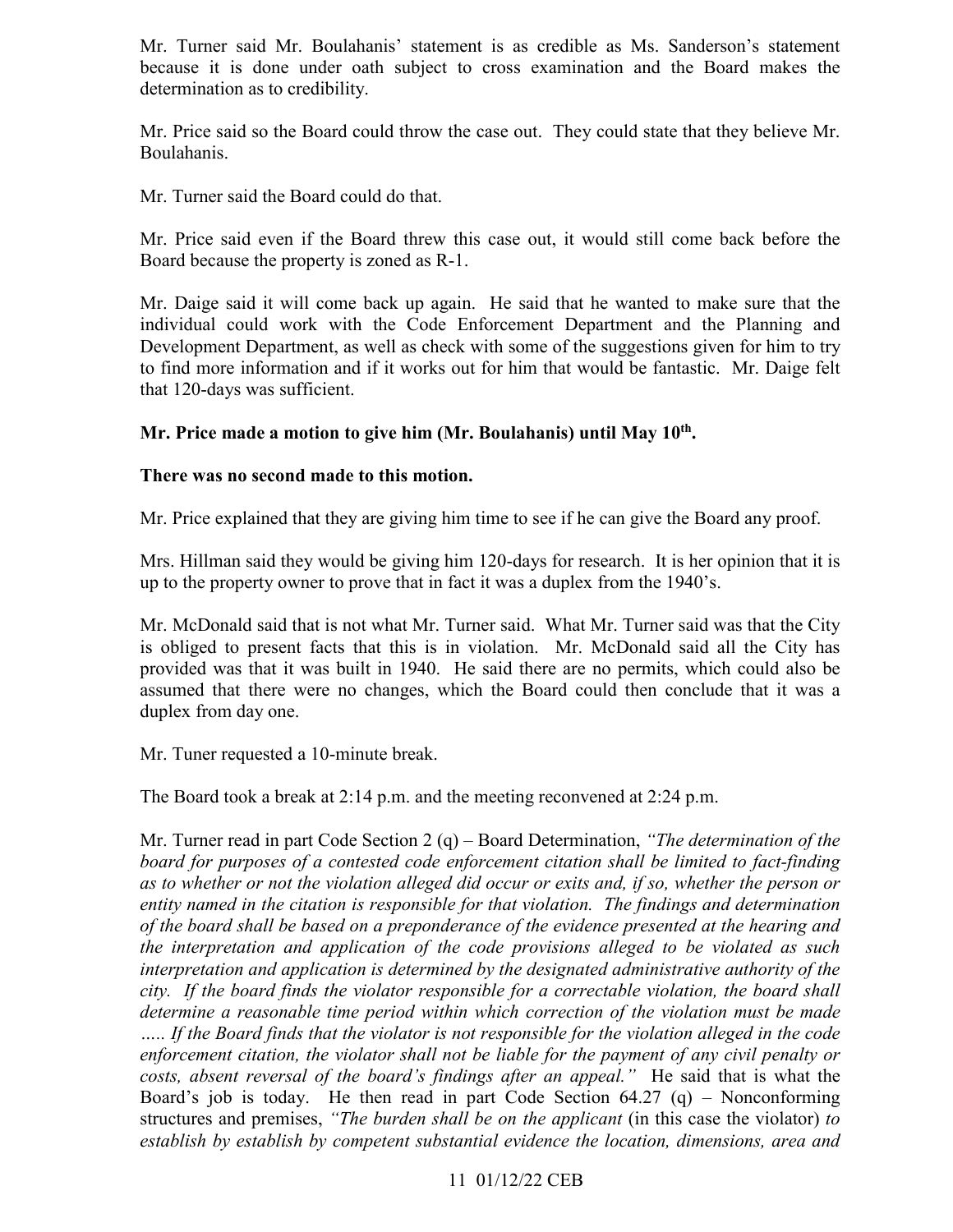Mr. Turner said Mr. Boulahanis' statement is as credible as Ms. Sanderson's statement because it is done under oath subject to cross examination and the Board makes the determination as to credibility.

 Mr. Price said so the Board could throw the case out. They could state that they believe Mr. Boulahanis.

Mr. Turner said the Board could do that.

Mr. Price said even if the Board threw this case out, it would still come back before the Board because the property is zoned as R-1.

 to find more information and if it works out for him that would be fantastic. Mr. Daige felt Mr. Daige said it will come back up again. He said that he wanted to make sure that the individual could work with the Code Enforcement Department and the Planning and Development Department, as well as check with some of the suggestions given for him to try that 120-days was sufficient.

# Mr. Price made a motion to give him (Mr. Boulahanis) until May 10<sup>th</sup>.<br>There was no second made to this motion.

Mr. Price explained that they are giving him time to see if he can give the Board any proof.

 Mrs. Hillman said they would be giving him 120-days for research. It is her opinion that it is up to the property owner to prove that in fact it was a duplex from the 1940's.

Mr. McDonald said that is not what Mr. Turner said. What Mr. Turner said was that the City is obliged to present facts that this is in violation. Mr. McDonald said all the City has provided was that it was built in 1940. He said there are no permits, which could also be assumed that there were no changes, which the Board could then conclude that it was a duplex from day one.

Mr. Tuner requested a 10-minute break.

The Board took a break at 2:14 p.m. and the meeting reconvened at 2:24 p.m.

 Mr. Turner read in part Code Section 2 (q) – Board Determination, *"The determination of the city. If the board finds the violator responsible for a correctable violation, the board shall costs, absent reversal of the board's findings after an appeal."* He said that is what the Board's job is today. He then read in part Code Section 64.27 (q) – Nonconforming *board for purposes of a contested code enforcement citation shall be limited to fact-finding as to whether or not the violation alleged did occur or exits and, if so, whether the person or entity named in the citation is responsible for that violation. The findings and determination of the board shall be based on a preponderance of the evidence presented at the hearing and the interpretation and application of the code provisions alleged to be violated as such interpretation and application is determined by the designated administrative authority of the determine a reasonable time period within which correction of the violation must be made ….. If the Board finds that the violator is not responsible for the violation alleged in the code enforcement citation, the violator shall not be liable for the payment of any civil penalty or*  structures and premises, *"The burden shall be on the applicant* (in this case the violator) *to establish by establish by competent substantial evidence the location, dimensions, area and*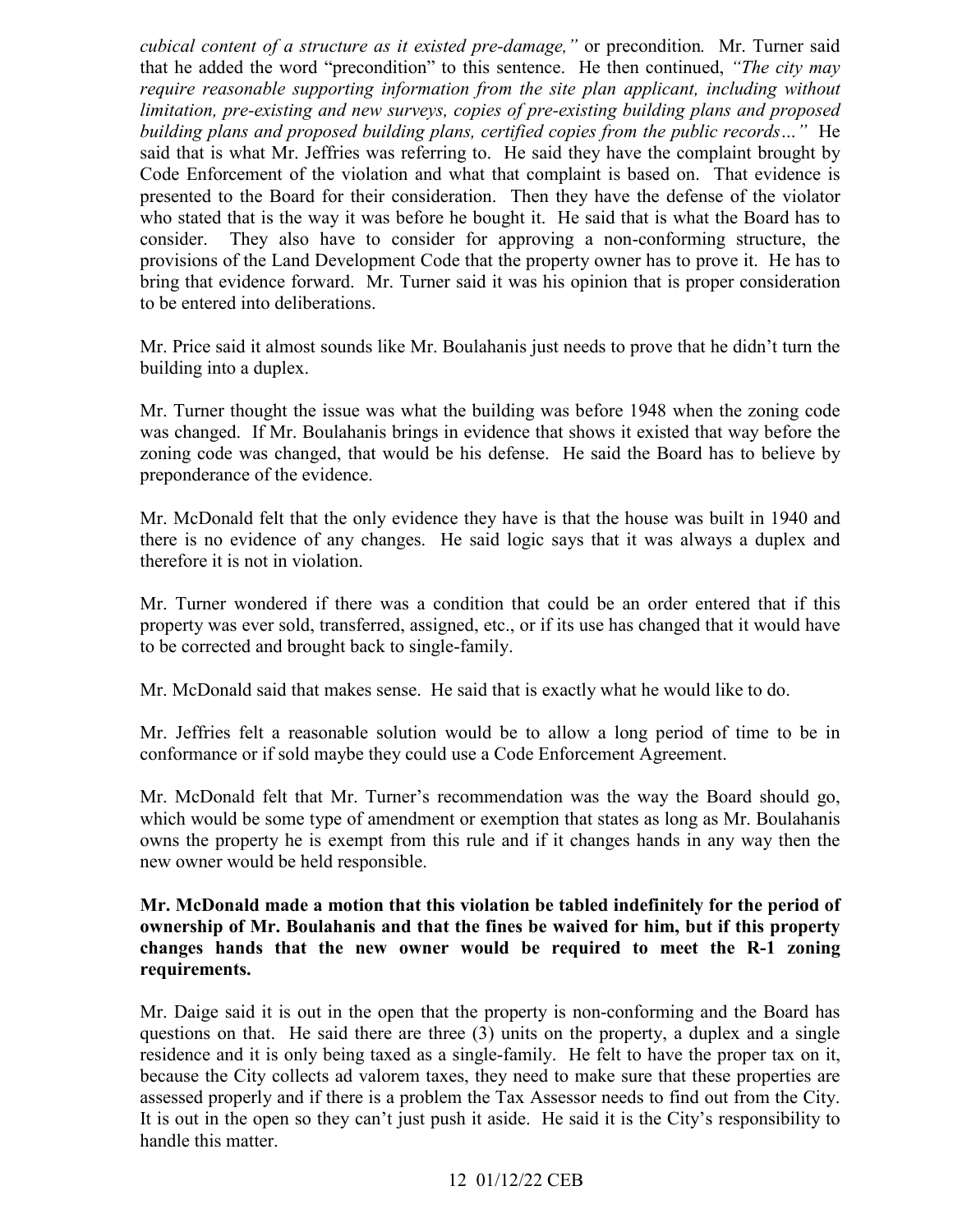*building plans and proposed building plans, certified copies from the public records…"* He *cubical content of a structure as it existed pre-damage,"* or precondition*.* Mr. Turner said that he added the word "precondition" to this sentence. He then continued, *"The city may require reasonable supporting information from the site plan applicant, including without limitation, pre-existing and new surveys, copies of pre-existing building plans and proposed*  said that is what Mr. Jeffries was referring to. He said they have the complaint brought by Code Enforcement of the violation and what that complaint is based on. That evidence is presented to the Board for their consideration. Then they have the defense of the violator who stated that is the way it was before he bought it. He said that is what the Board has to consider. They also have to consider for approving a non-conforming structure, the provisions of the Land Development Code that the property owner has to prove it. He has to bring that evidence forward. Mr. Turner said it was his opinion that is proper consideration to be entered into deliberations.

Mr. Price said it almost sounds like Mr. Boulahanis just needs to prove that he didn't turn the building into a duplex.

Mr. Turner thought the issue was what the building was before 1948 when the zoning code was changed. If Mr. Boulahanis brings in evidence that shows it existed that way before the zoning code was changed, that would be his defense. He said the Board has to believe by preponderance of the evidence.

 there is no evidence of any changes. He said logic says that it was always a duplex and Mr. McDonald felt that the only evidence they have is that the house was built in 1940 and therefore it is not in violation.

 Mr. Turner wondered if there was a condition that could be an order entered that if this to be corrected and brought back to single-family. property was ever sold, transferred, assigned, etc., or if its use has changed that it would have

to be corrected and brought back to single-family.<br>Mr. McDonald said that makes sense. He said that is exactly what he would like to do.

Mr. Jeffries felt a reasonable solution would be to allow a long period of time to be in conformance or if sold maybe they could use a Code Enforcement Agreement.

Mr. McDonald felt that Mr. Turner's recommendation was the way the Board should go, which would be some type of amendment or exemption that states as long as Mr. Boulahanis owns the property he is exempt from this rule and if it changes hands in any way then the new owner would be held responsible.

#### **Mr. McDonald made a motion that this violation be tabled indefinitely for the period of ownership of Mr. Boulahanis and that the fines be waived for him, but if this property changes hands that the new owner would be required to meet the R-1 zoning requirements.**

 residence and it is only being taxed as a single-family. He felt to have the proper tax on it, assessed properly and if there is a problem the Tax Assessor needs to find out from the City. Mr. Daige said it is out in the open that the property is non-conforming and the Board has questions on that. He said there are three (3) units on the property, a duplex and a single because the City collects ad valorem taxes, they need to make sure that these properties are It is out in the open so they can't just push it aside. He said it is the City's responsibility to handle this matter.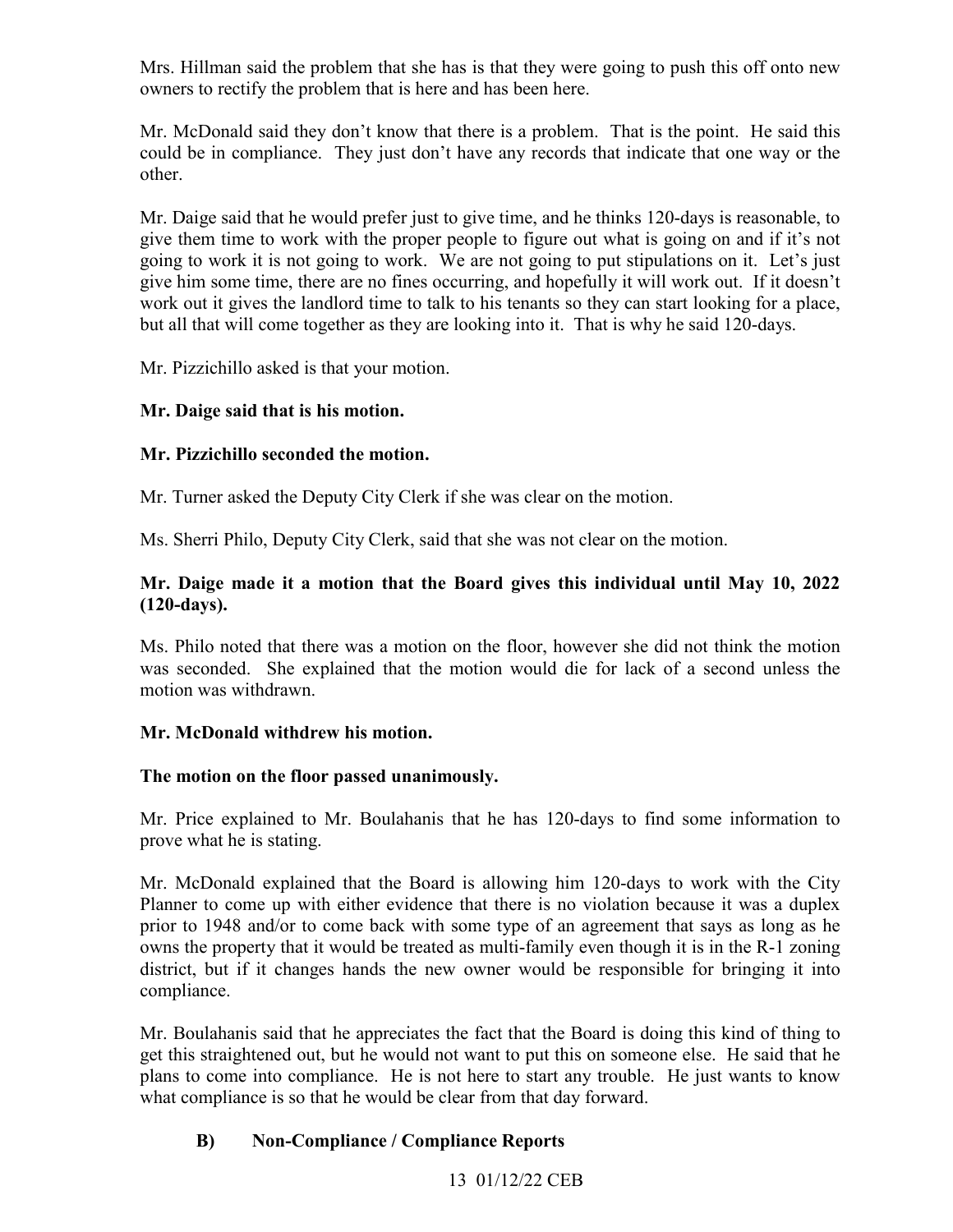Mrs. Hillman said the problem that she has is that they were going to push this off onto new owners to rectify the problem that is here and has been here.

 Mr. McDonald said they don't know that there is a problem. That is the point. He said this could be in compliance. They just don't have any records that indicate that one way or the other.

 but all that will come together as they are looking into it. That is why he said 120-days. Mr. Daige said that he would prefer just to give time, and he thinks 120-days is reasonable, to give them time to work with the proper people to figure out what is going on and if it's not going to work it is not going to work. We are not going to put stipulations on it. Let's just give him some time, there are no fines occurring, and hopefully it will work out. If it doesn't work out it gives the landlord time to talk to his tenants so they can start looking for a place,

Mr. Pizzichillo asked is that your motion.

#### **Mr. Daige said that is his motion.**

#### **Mr. Pizzichillo seconded the motion.**

Mr. Turner asked the Deputy City Clerk if she was clear on the motion.

Ms. Sherri Philo, Deputy City Clerk, said that she was not clear on the motion.

#### **Mr. Daige made it a motion that the Board gives this individual until May 10, 2022 (120-days).**

Ms. Philo noted that there was a motion on the floor, however she did not think the motion was seconded. She explained that the motion would die for lack of a second unless the motion was withdrawn.

#### **Mr. McDonald withdrew his motion.**

#### **The motion on the floor passed unanimously.**

Mr. Price explained to Mr. Boulahanis that he has 120-days to find some information to prove what he is stating.

Mr. McDonald explained that the Board is allowing him 120-days to work with the City Planner to come up with either evidence that there is no violation because it was a duplex prior to 1948 and/or to come back with some type of an agreement that says as long as he owns the property that it would be treated as multi-family even though it is in the R-1 zoning district, but if it changes hands the new owner would be responsible for bringing it into compliance.

Mr. Boulahanis said that he appreciates the fact that the Board is doing this kind of thing to get this straightened out, but he would not want to put this on someone else. He said that he plans to come into compliance. He is not here to start any trouble. He just wants to know what compliance is so that he would be clear from that day forward.

#### **B) Non-Compliance / Compliance Reports**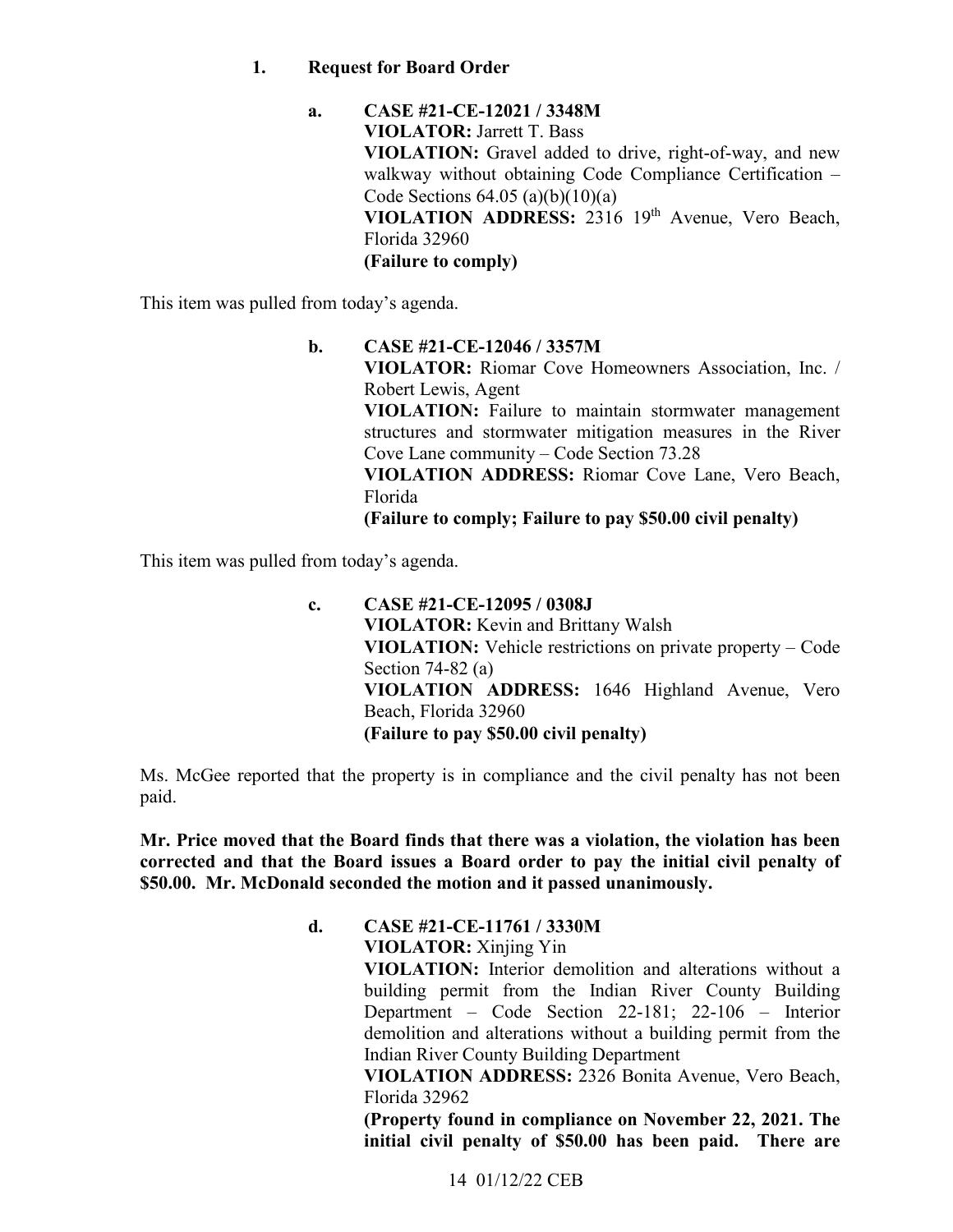## **Request for Board Order 1. Request for Board Order a. CASE #21-CE-12021 / 3348M**

 walkway without obtaining Code Compliance Certification – **VIOLATOR:** Jarrett T. Bass **VIOLATION:** Gravel added to drive, right-of-way, and new Code Sections  $64.05$  (a)(b)(10)(a) **VIOLATION ADDRESS:** 2316 19th Avenue, Vero Beach, Florida 32960 **(Failure to comply)** 

This item was pulled from today's agenda.

 Cove Lane community – Code Section 73.28  **(Failure to comply; Failure to pay \$50.00 civil penalty) b. CASE #21-CE-12046 / 3357M VIOLATOR:** Riomar Cove Homeowners Association, Inc. / Robert Lewis, Agent **VIOLATION:** Failure to maintain stormwater management structures and stormwater mitigation measures in the River **VIOLATION ADDRESS:** Riomar Cove Lane, Vero Beach, Florida

This item was pulled from today's agenda.

 **VIOLATION:** Vehicle restrictions on private property – Code **c. CASE #21-CE-12095 / 0308J VIOLATOR:** Kevin and Brittany Walsh Section 74-82 (a) **VIOLATION ADDRESS:** 1646 Highland Avenue, Vero Beach, Florida 32960 **(Failure to pay \$50.00 civil penalty)** 

 paid. Ms. McGee reported that the property is in compliance and the civil penalty has not been

**Mr. Price moved that the Board finds that there was a violation, the violation has been corrected and that the Board issues a Board order to pay the initial civil penalty of \$50.00. Mr. McDonald seconded the motion and it passed unanimously.** 

> Department – Code Section 22-181; 22-106 – Interior **d. CASE #21-CE-11761 / 3330M VIOLATOR:** Xinjing Yin **VIOLATION:** Interior demolition and alterations without a building permit from the Indian River County Building demolition and alterations without a building permit from the Indian River County Building Department **VIOLATION ADDRESS:** 2326 Bonita Avenue, Vero Beach, Florida 32962 **(Property found in compliance on November 22, 2021. The**

**initial civil penalty of \$50.00 has been paid. There are**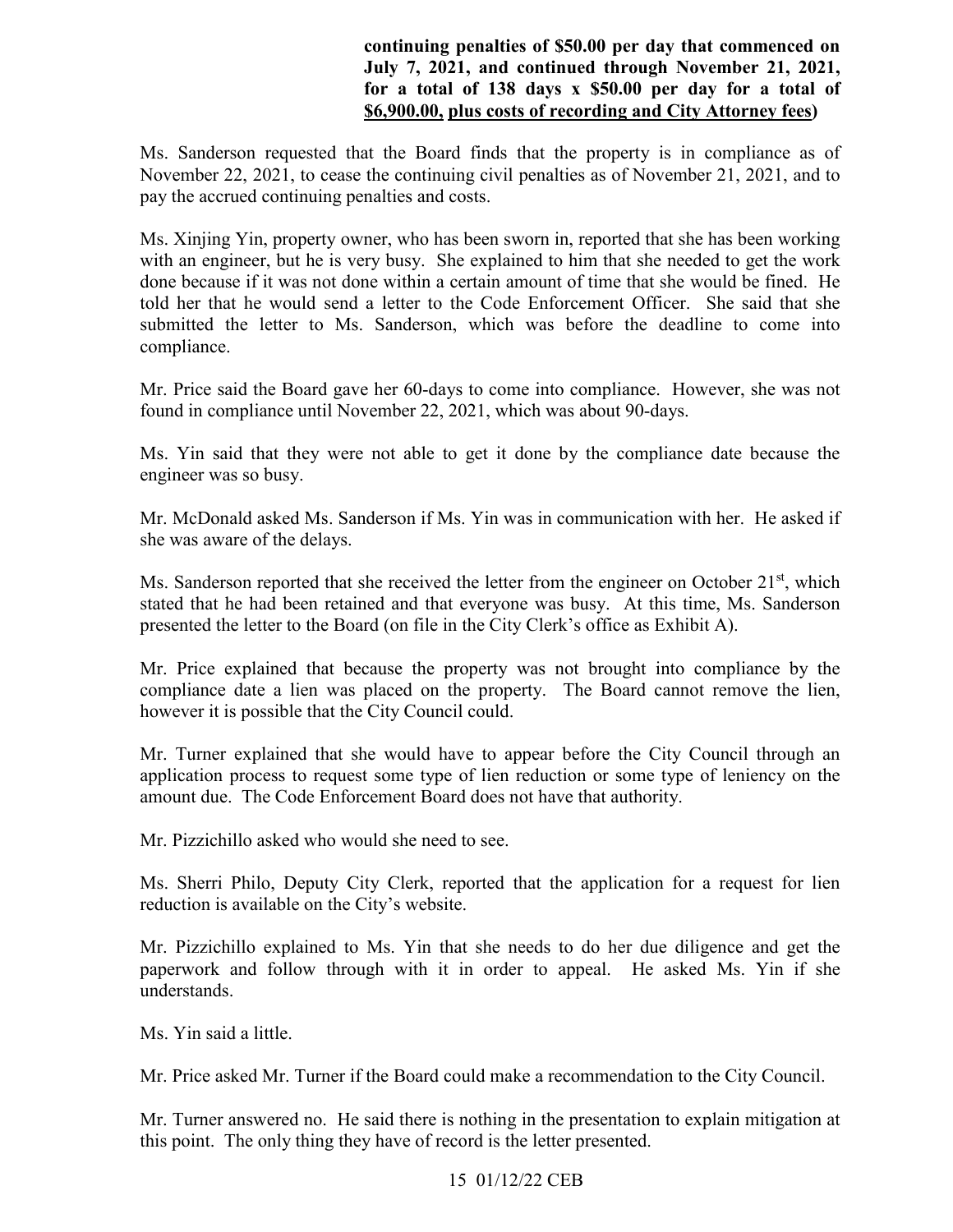#### **continuing penalties of \$50.00 per day that commenced on July 7, 2021, and continued through November 21, 2021, for a total of 138 days x \$50.00 per day for a total of \$[6,900.00](https://6,900.00), plus costs of recording and City Attorney fees)**

Ms. Sanderson requested that the Board finds that the property is in compliance as of November 22, 2021, to cease the continuing civil penalties as of November 21, 2021, and to pay the accrued continuing penalties and costs.

Ms. Xinjing Yin, property owner, who has been sworn in, reported that she has been working with an engineer, but he is very busy. She explained to him that she needed to get the work done because if it was not done within a certain amount of time that she would be fined. He told her that he would send a letter to the Code Enforcement Officer. She said that she submitted the letter to Ms. Sanderson, which was before the deadline to come into compliance.

Mr. Price said the Board gave her 60-days to come into compliance. However, she was not found in compliance until November 22, 2021, which was about 90-days.

Ms. Yin said that they were not able to get it done by the compliance date because the engineer was so busy.

she was aware of the delays. Mr. McDonald asked Ms. Sanderson if Ms. Yin was in communication with her. He asked if

presented the letter to the Board (on file in the City Clerk's office as Exhibit A). Ms. Sanderson reported that she received the letter from the engineer on October 21<sup>st</sup>, which stated that he had been retained and that everyone was busy. At this time, Ms. Sanderson

Mr. Price explained that because the property was not brought into compliance by the compliance date a lien was placed on the property. The Board cannot remove the lien, however it is possible that the City Council could.

 application process to request some type of lien reduction or some type of leniency on the Mr. Turner explained that she would have to appear before the City Council through an amount due. The Code Enforcement Board does not have that authority.

Mr. Pizzichillo asked who would she need to see.

Ms. Sherri Philo, Deputy City Clerk, reported that the application for a request for lien reduction is available on the City's website.

 Mr. Pizzichillo explained to Ms. Yin that she needs to do her due diligence and get the paperwork and follow through with it in order to appeal. He asked Ms. Yin if she understands.

Ms. Yin said a little.

Mr. Price asked Mr. Turner if the Board could make a recommendation to the City Council.

Mr. Turner answered no. He said there is nothing in the presentation to explain mitigation at this point. The only thing they have of record is the letter presented.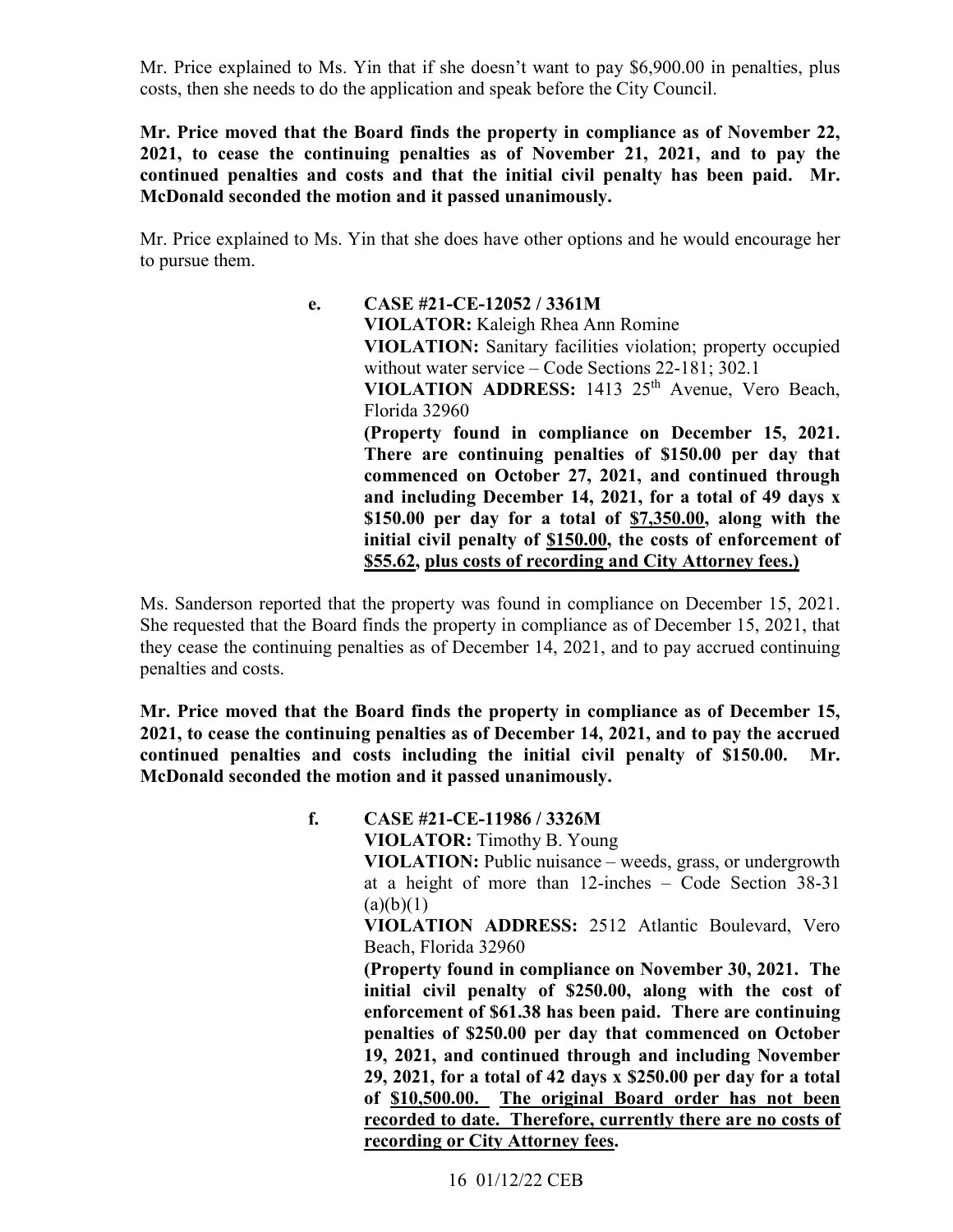Mr. Price explained to Ms. Yin that if she doesn't want to pay \$[6,900.00](https://6,900.00) in penalties, plus costs, then she needs to do the application and speak before the City Council.

 **McDonald seconded the motion and it passed unanimously. Mr. Price moved that the Board finds the property in compliance as of November 22, 2021, to cease the continuing penalties as of November 21, 2021, and to pay the continued penalties and costs and that the initial civil penalty has been paid. Mr.** 

Mr. Price explained to Ms. Yin that she does have other options and he would encourage her to pursue them.

> **VIOLATION ADDRESS:** 1413 25th Avenue, Vero Beach,  **(Property found in compliance on December 15, 2021. e. CASE #21-CE-12052 / 3361M VIOLATOR:** Kaleigh Rhea Ann Romine **VIOLATION:** Sanitary facilities violation; property occupied without water service – Code Sections 22-181; 302.1 Florida 32960 **There are continuing penalties of \$150.00 per day that commenced on October 27, 2021, and continued through and including December 14, 2021, for a total of 49 days x \$150.00 per day for a total of \$[7,350.00,](https://7,350.00) along with the initial civil penalty of \$150.00, the costs of enforcement of \$55.62, plus costs of recording and City Attorney fees.)**

 Ms. Sanderson reported that the property was found in compliance on December 15, 2021. She requested that the Board finds the property in compliance as of December 15, 2021, that they cease the continuing penalties as of December 14, 2021, and to pay accrued continuing penalties and costs.

 **2021, to cease the continuing penalties as of December 14, 2021, and to pay the accrued Mr. Price moved that the Board finds the property in compliance as of December 15, continued penalties and costs including the initial civil penalty of \$150.00. Mr. McDonald seconded the motion and it passed unanimously.** 

> **VIOLATION:** Public nuisance – weeds, grass, or undergrowth  **enforcement of \$61.38 has been paid. There are continuing f. CASE #21-CE-11986 / 3326M VIOLATOR:** Timothy B. Young at a height of more than 12-inches – Code Section 38-31  $(a)(b)(1)$ **VIOLATION ADDRESS:** 2512 Atlantic Boulevard, Vero Beach, Florida 32960 **(Property found in compliance on November 30, 2021. The initial civil penalty of \$250.00, along with the cost of penalties of \$250.00 per day that commenced on October 19, 2021, and continued through and including November 29, 2021, for a total of 42 days x \$250.00 per day for a total of \$[10,500.00.](https://10,500.00) The original Board order has not been recorded to date. Therefore, currently there are no costs of recording or City Attorney fees.**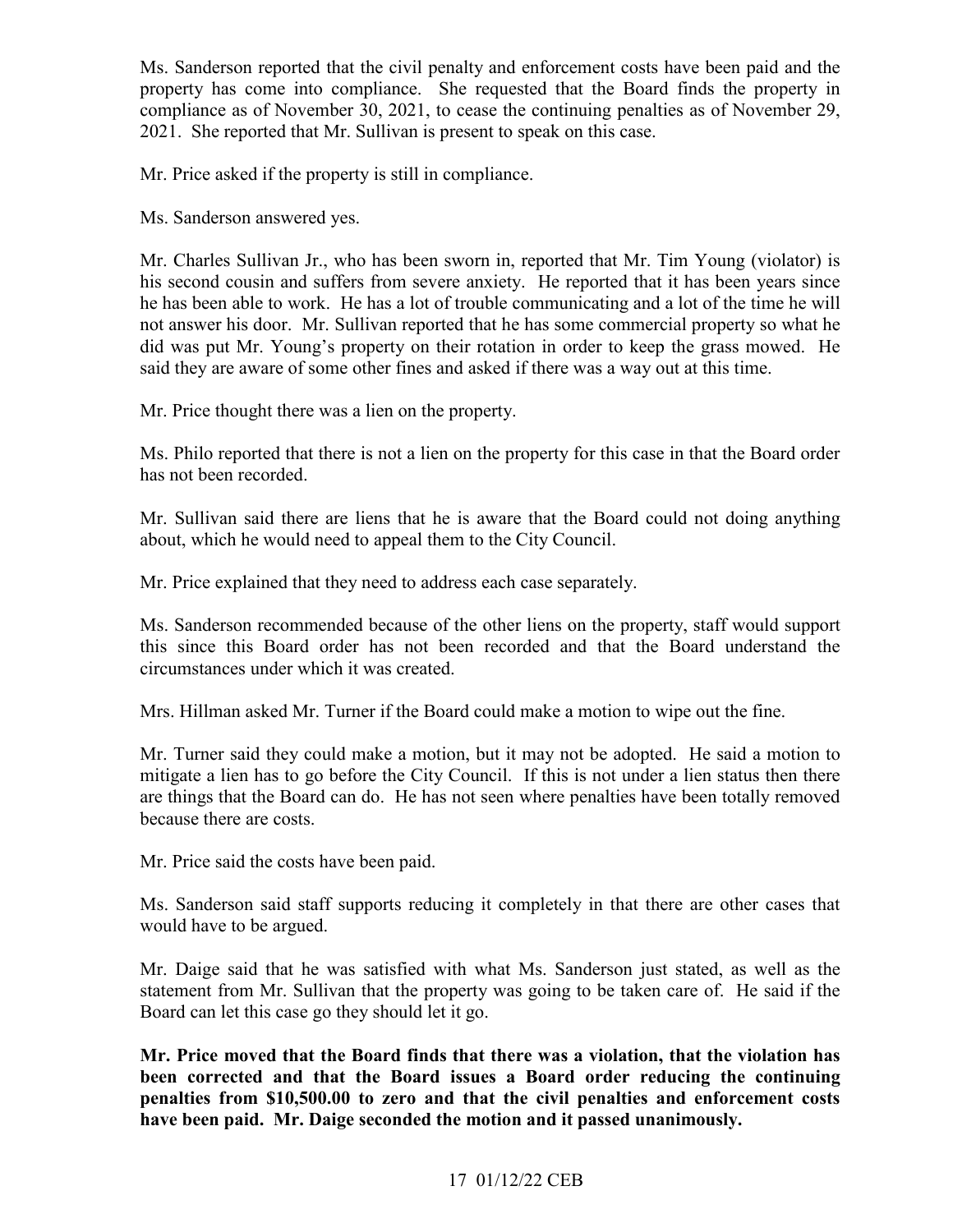Ms. Sanderson reported that the civil penalty and enforcement costs have been paid and the property has come into compliance. She requested that the Board finds the property in compliance as of November 30, 2021, to cease the continuing penalties as of November 29, 2021. She reported that Mr. Sullivan is present to speak on this case.

Mr. Price asked if the property is still in compliance.

Ms. Sanderson answered yes.

 his second cousin and suffers from severe anxiety. He reported that it has been years since he has been able to work. He has a lot of trouble communicating and a lot of the time he will not answer his door. Mr. Sullivan reported that he has some commercial property so what he said they are aware of some other fines and asked if there was a way out at this time. Mr. Charles Sullivan Jr., who has been sworn in, reported that Mr. Tim Young (violator) is did was put Mr. Young's property on their rotation in order to keep the grass mowed. He

Mr. Price thought there was a lien on the property.

Ms. Philo reported that there is not a lien on the property for this case in that the Board order has not been recorded.

Mr. Sullivan said there are liens that he is aware that the Board could not doing anything about, which he would need to appeal them to the City Council.

Mr. Price explained that they need to address each case separately.

 Ms. Sanderson recommended because of the other liens on the property, staff would support this since this Board order has not been recorded and that the Board understand the circumstances under which it was created.

Mrs. Hillman asked Mr. Turner if the Board could make a motion to wipe out the fine.

 mitigate a lien has to go before the City Council. If this is not under a lien status then there are things that the Board can do. He has not seen where penalties have been totally removed Mr. Turner said they could make a motion, but it may not be adopted. He said a motion to because there are costs.

Mr. Price said the costs have been paid.

would have to be argued. Ms. Sanderson said staff supports reducing it completely in that there are other cases that

Mr. Daige said that he was satisfied with what Ms. Sanderson just stated, as well as the statement from Mr. Sullivan that the property was going to be taken care of. He said if the Board can let this case go they should let it go.

 **Mr. Price moved that the Board finds that there was a violation, that the violation has been corrected and that the Board issues a Board order reducing the continuing penalties from [\\$10,500.00](https://10,500.00) to zero and that the civil penalties and enforcement costs have been paid. Mr. Daige seconded the motion and it passed unanimously.**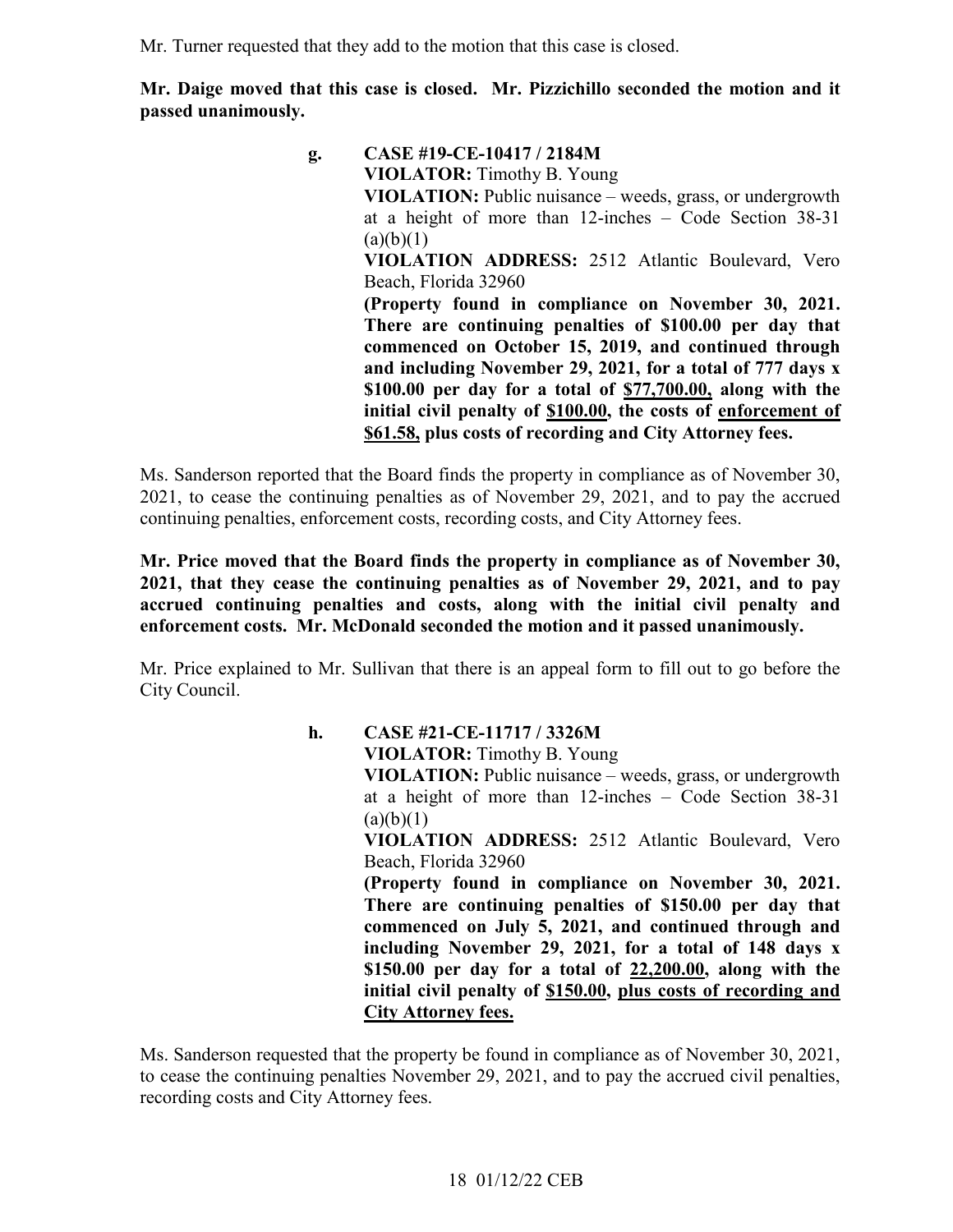Mr. Turner requested that they add to the motion that this case is closed.

**Mr. Daige moved that this case is closed. Mr. Pizzichillo seconded the motion and it passed unanimously.** 

> **VIOLATION:** Public nuisance – weeds, grass, or undergrowth (Property found in compliance on November 30, 2021. **g. CASE #19-CE-10417 / 2184M VIOLATOR:** Timothy B. Young at a height of more than 12-inches – Code Section 38-31  $(a)(b)(1)$ **VIOLATION ADDRESS:** 2512 Atlantic Boulevard, Vero Beach, Florida 32960 There are continuing penalties of \$100.00 per day that **commenced on October 15, 2019, and continued through and including November 29, 2021, for a total of 777 days x \$100.00 per day for a total of \$[77,700.00,](https://77,700.00) along with the initial civil penalty of \$100.00, the costs of enforcement of \$61.58, plus costs of recording and City Attorney fees.**

 continuing penalties, enforcement costs, recording costs, and City Attorney fees. Ms. Sanderson reported that the Board finds the property in compliance as of November 30, 2021, to cease the continuing penalties as of November 29, 2021, and to pay the accrued

#### **2021, that they cease the continuing penalties as of November 29, 2021, and to pay Mr. Price moved that the Board finds the property in compliance as of November 30, accrued continuing penalties and costs, along with the initial civil penalty and enforcement costs. Mr. McDonald seconded the motion and it passed unanimously.**

 Mr. Price explained to Mr. Sullivan that there is an appeal form to fill out to go before the City Council.

| h. | CASE #21-CE-11717 / 3326M                                                                                                                                                 |
|----|---------------------------------------------------------------------------------------------------------------------------------------------------------------------------|
|    | <b>VIOLATOR:</b> Timothy B. Young                                                                                                                                         |
|    | VIOLATION: Public nuisance – weeds, grass, or undergrowth                                                                                                                 |
|    | at a height of more than $12$ -inches – Code Section $38-31$                                                                                                              |
|    | (a)(b)(1)                                                                                                                                                                 |
|    | VIOLATION ADDRESS: 2512 Atlantic Boulevard, Vero                                                                                                                          |
|    | Beach, Florida 32960                                                                                                                                                      |
|    | (Property found in compliance on November 30, 2021.                                                                                                                       |
|    | There are continuing penalties of \$150.00 per day that<br>commenced on July 5, 2021, and continued through and<br>including November 29, 2021, for a total of 148 days x |
|    | \$150.00 per day for a total of $22,200.00$ , along with the                                                                                                              |
|    | initial civil penalty of \$150.00, plus costs of recording and                                                                                                            |
|    | <b>City Attorney fees.</b>                                                                                                                                                |

Ms. Sanderson requested that the property be found in compliance as of November 30, 2021, to cease the continuing penalties November 29, 2021, and to pay the accrued civil penalties, recording costs and City Attorney fees.